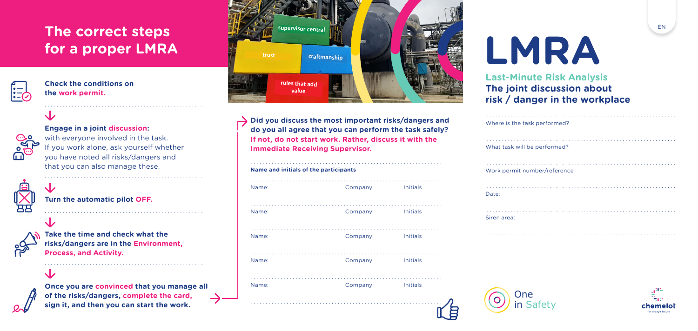## **The correct steps for a proper LMRA**

**Check the conditions on the work permit.**

| 6<br>and the state of the state of the state of the state of the state of the state of the state of the state of th |
|---------------------------------------------------------------------------------------------------------------------|

**Engage in a joint discussion:**  with everyone involved in the task. If you work alone, ask yourself whether you have noted all risks/dangers and that you can also manage these.

. . . . . . . . . . . . . . . . . . . . . . . . . . . . . . . . . . . . . . . . . . . . . . . . . . . . . .

. . . . . . . . . . . . . . . . . . . . . . . . . . . . . . . . . . . . . . . . . . . . . . . . . . . . . .

. . . . . . . . . . . . . . . . . . . . . . . . . . . . . . . . . . . . . . . . . . . . . . . . . . . . . .

. . . . . . . . . . . . . . . . . . . . . . . . . . . . . . . . . . . . . . . . . . . . . . . . . . . . . .

**Turn the automatic pilot OFF.**

**Take the time and check what the risks/dangers are in the Environment, Process, and Activity.**

**Once you are convinced that you manage all of the risks/dangers, complete the card, sign it, and then you can start the work.**



**Did you discuss the most important risks/dangers and do you all agree that you can perform the task safely? If not, do not start work. Rather, discuss it with the Immediate Receiving Supervisor.**

| Name: | Company | <b>Initials</b> |
|-------|---------|-----------------|
| Name: | Company | <b>Initials</b> |
| Name: | Company | <b>Initials</b> |
| Name: | Company | <b>Initials</b> |
| Name: | Company | <b>Initials</b> |

. . . . . . . . . . . . . . . . . . . . . . . . . . . . . . . . . . . . . . . . . . . . . . . . . . . . . . . . . . . . . . . .

# **LMRA**

**Last-Minute Risk Analysis The joint discussion about risk / danger in the workplace**

| Where is the task performed? |
|------------------------------|
| What task will be performed? |
| Work permit number/reference |
| Date:                        |
| Siren area:                  |
|                              |



E